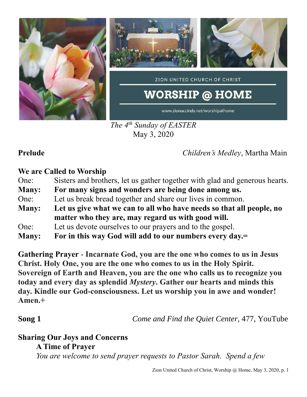

*The 4 th Sunday of EASTER* May 3, 2020

**Prelude** *Children's Medley*, Martha Main

### **We are Called to Worship**

| One:<br>Sisters and brothers, let us gather together with glad and generous hearts. |  |
|-------------------------------------------------------------------------------------|--|
|-------------------------------------------------------------------------------------|--|

- **Many: For many signs and wonders are being done among us.**
- One: Let us break bread together and share our lives in common.
- **Many: Let us give what we can to all who have needs so that all people, no matter who they are, may regard us with good will.**
- One: Let us devote ourselves to our prayers and to the gospel.
- **Many: For in this way God will add to our numbers every day.=**

**Gathering Prayer** - **Incarnate God, you are the one who comes to us in Jesus Christ. Holy One, you are the one who comes to us in the Holy Spirit. Sovereign of Earth and Heaven, you are the one who calls us to recognize you today and every day as splendid** *Mystery***. Gather our hearts and minds this day. Kindle our God-consciousness. Let us worship you in awe and wonder! Amen.+**

**Song 1** *Come and Find the Quiet Center,* 477, YouTube

# **Sharing Our Joys and Concerns**

**A Time of Prayer**

*You are welcome to send prayer requests to Pastor Sarah. Spend a few* 

Zion United Church of Christ, Worship @ Home, May 3, 2020, p. 1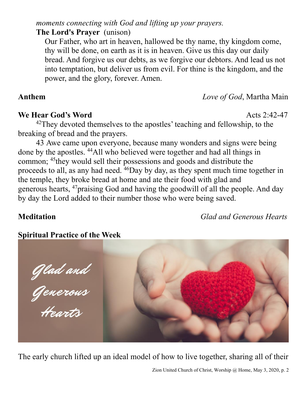*moments connecting with God and lifting up your prayers.*

**The Lord's Prayer** (unison)

Our Father, who art in heaven, hallowed be thy name, thy kingdom come, thy will be done, on earth as it is in heaven. Give us this day our daily bread. And forgive us our debts, as we forgive our debtors. And lead us not into temptation, but deliver us from evil. For thine is the kingdom, and the power, and the glory, forever. Amen.

# **Anthem** *Love of God*, Martha Main

### **We Hear God's Word** Acts 2:42-47

<sup>42</sup>They devoted themselves to the apostles' teaching and fellowship, to the breaking of bread and the prayers.

43 Awe came upon everyone, because many wonders and signs were being done by the apostles. <sup>44</sup>All who believed were together and had all things in common; <sup>45</sup>they would sell their possessions and goods and distribute the proceeds to all, as any had need. <sup>46</sup>Day by day, as they spent much time together in the temple, they broke bread at home and ate their food with glad and generous hearts, <sup>47</sup>praising God and having the goodwill of all the people. And day by day the Lord added to their number those who were being saved.

**Meditation** *Glad and Generous Hearts*

## **Spiritual Practice of the Week**

The early church lifted up an ideal model of how to live together, sharing all of their

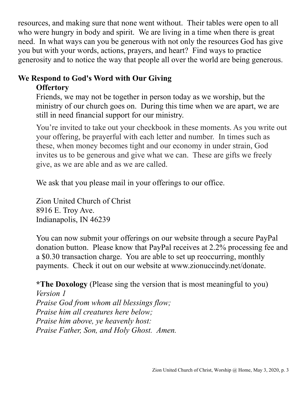resources, and making sure that none went without. Their tables were open to all who were hungry in body and spirit. We are living in a time when there is great need. In what ways can you be generous with not only the resources God has give you but with your words, actions, prayers, and heart? Find ways to practice generosity and to notice the way that people all over the world are being generous.

### **We Respond to God's Word with Our Giving Offertory**

Friends, we may not be together in person today as we worship, but the ministry of our church goes on. During this time when we are apart, we are still in need financial support for our ministry.

You're invited to take out your checkbook in these moments. As you write out your offering, be prayerful with each letter and number. In times such as these, when money becomes tight and our economy in under strain, God invites us to be generous and give what we can. These are gifts we freely give, as we are able and as we are called.

We ask that you please mail in your offerings to our office.

Zion United Church of Christ 8916 E. Troy Ave. Indianapolis, IN 46239

You can now submit your offerings on our website through a secure PayPal donation button. Please know that PayPal receives at 2.2% processing fee and a \$0.30 transaction charge. You are able to set up reoccurring, monthly payments. Check it out on our website at www.zionuccindy.net/donate.

**\*The Doxology** (Please sing the version that is most meaningful to you) *Version 1 Praise God from whom all blessings flow; Praise him all creatures here below; Praise him above, ye heavenly host: Praise Father, Son, and Holy Ghost. Amen.*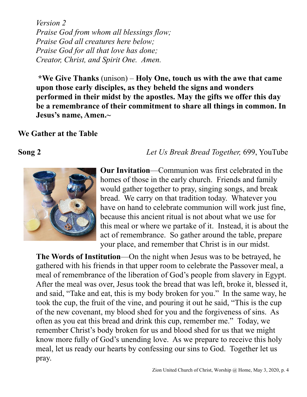*Version 2 Praise God from whom all blessings flow; Praise God all creatures here below; Praise God for all that love has done; Creator, Christ, and Spirit One. Amen.* 

**\*We Give Thanks** (unison) – **Holy One, touch us with the awe that came upon those early disciples, as they beheld the signs and wonders performed in their midst by the apostles. May the gifts we offer this day be a remembrance of their commitment to share all things in common. In Jesus's name, Amen.~**

**We Gather at the Table**

### **Song 2** *Let Us Break Bread Together,* 699, YouTube



**Our Invitation**—Communion was first celebrated in the homes of those in the early church. Friends and family would gather together to pray, singing songs, and break bread. We carry on that tradition today. Whatever you have on hand to celebrate communion will work just fine, because this ancient ritual is not about what we use for this meal or where we partake of it. Instead, it is about the act of remembrance. So gather around the table, prepare your place, and remember that Christ is in our midst.

**The Words of Institution**—On the night when Jesus was to be betrayed, he gathered with his friends in that upper room to celebrate the Passover meal, a meal of remembrance of the liberation of God's people from slavery in Egypt. After the meal was over, Jesus took the bread that was left, broke it, blessed it, and said, "Take and eat, this is my body broken for you." In the same way, he took the cup, the fruit of the vine, and pouring it out he said, "This is the cup of the new covenant, my blood shed for you and the forgiveness of sins. As often as you eat this bread and drink this cup, remember me." Today, we remember Christ's body broken for us and blood shed for us that we might know more fully of God's unending love. As we prepare to receive this holy meal, let us ready our hearts by confessing our sins to God. Together let us pray.